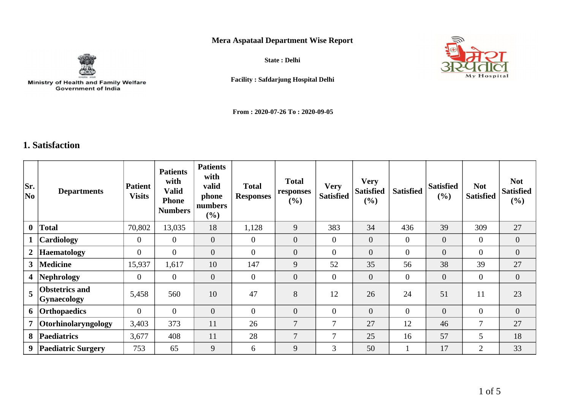## **Mera Aspataal Department Wise Report**



Ministry of Health and Family Welfare<br>Government of India

**State : Delhi**



**Facility : Safdarjung Hospital Delhi**

**From : 2020-07-26 To : 2020-09-05**

## **1. Satisfaction**

| Sr.<br>No      | <b>Departments</b>                   | <b>Patient</b><br><b>Visits</b> | <b>Patients</b><br>with<br><b>Valid</b><br><b>Phone</b><br><b>Numbers</b> | <b>Patients</b><br>with<br>valid<br>phone<br>numbers<br>$(\%)$ | <b>Total</b><br><b>Responses</b> | <b>Total</b><br>responses<br>(%) | <b>Very</b><br><b>Satisfied</b> | <b>Very</b><br><b>Satisfied</b><br>(%) | <b>Satisfied</b> | <b>Satisfied</b><br>$(\%)$ | <b>Not</b><br><b>Satisfied</b> | <b>Not</b><br><b>Satisfied</b><br>(%) |
|----------------|--------------------------------------|---------------------------------|---------------------------------------------------------------------------|----------------------------------------------------------------|----------------------------------|----------------------------------|---------------------------------|----------------------------------------|------------------|----------------------------|--------------------------------|---------------------------------------|
| $\mathbf{0}$   | <b>Total</b>                         | 70,802                          | 13,035                                                                    | 18                                                             | 1,128                            | 9                                | 383                             | 34                                     | 436              | 39                         | 309                            | 27                                    |
| $\mathbf{1}$   | <b>Cardiology</b>                    | $\overline{0}$                  | $\overline{0}$                                                            | $\overline{0}$                                                 | $\overline{0}$                   | $\overline{0}$                   | $\overline{0}$                  | $\theta$                               | $\overline{0}$   | $\overline{0}$             | $\theta$                       | $\overline{0}$                        |
| $\mathbf{2}$   | <b>Haematology</b>                   | $\overline{0}$                  | $\overline{0}$                                                            | $\overline{0}$                                                 | $\overline{0}$                   | $\overline{0}$                   | $\mathbf{0}$                    | $\overline{0}$                         | $\overline{0}$   | $\overline{0}$             | $\overline{0}$                 | $\overline{0}$                        |
| 3 <sup>1</sup> | Medicine                             | 15,937                          | 1,617                                                                     | 10                                                             | 147                              | 9                                | 52                              | 35                                     | 56               | 38                         | 39                             | 27                                    |
|                | 4 Nephrology                         | $\overline{0}$                  | $\overline{0}$                                                            | $\overline{0}$                                                 | $\overline{0}$                   | $\overline{0}$                   | $\mathbf{0}$                    | $\overline{0}$                         | $\overline{0}$   | $\boldsymbol{0}$           | $\theta$                       | $\overline{0}$                        |
| 5              | <b>Obstetrics and</b><br>Gynaecology | 5,458                           | 560                                                                       | 10                                                             | 47                               | 8                                | 12                              | 26                                     | 24               | 51                         | 11                             | 23                                    |
|                | 6 Orthopaedics                       | $\theta$                        | $\overline{0}$                                                            | $\overline{0}$                                                 | $\overline{0}$                   | $\overline{0}$                   | $\mathbf{0}$                    | $\overline{0}$                         | $\overline{0}$   | $\overline{0}$             | $\overline{0}$                 | $\overline{0}$                        |
|                | 7 Otorhinolaryngology                | 3,403                           | 373                                                                       | 11                                                             | 26                               | $\tau$                           | 7                               | 27                                     | 12               | 46                         | $\tau$                         | 27                                    |
| 8              | <b>Paediatrics</b>                   | 3,677                           | 408                                                                       | 11                                                             | 28                               | $\overline{7}$                   | 7                               | 25                                     | 16               | 57                         | 5                              | 18                                    |
| 9              | <b>Paediatric Surgery</b>            | 753                             | 65                                                                        | 9                                                              | 6                                | 9                                | 3                               | 50                                     |                  | 17                         | 2                              | 33                                    |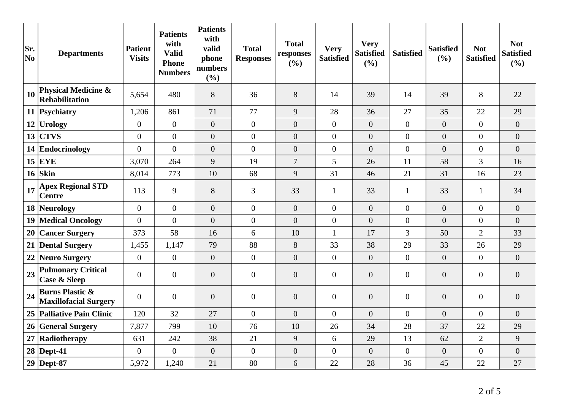| Sr.<br>No | <b>Departments</b>                                         | <b>Patient</b><br><b>Visits</b> | <b>Patients</b><br>with<br><b>Valid</b><br><b>Phone</b><br><b>Numbers</b> | <b>Patients</b><br>with<br>valid<br>phone<br>numbers<br>(%) | <b>Total</b><br><b>Responses</b> | <b>Total</b><br>responses<br>(%) | <b>Very</b><br><b>Satisfied</b> | <b>Very</b><br><b>Satisfied</b><br>(%) | <b>Satisfied</b> | <b>Satisfied</b><br>(%) | <b>Not</b><br><b>Satisfied</b> | <b>Not</b><br><b>Satisfied</b><br>(%) |
|-----------|------------------------------------------------------------|---------------------------------|---------------------------------------------------------------------------|-------------------------------------------------------------|----------------------------------|----------------------------------|---------------------------------|----------------------------------------|------------------|-------------------------|--------------------------------|---------------------------------------|
| 10        | <b>Physical Medicine &amp;</b><br>Rehabilitation           | 5,654                           | 480                                                                       | 8                                                           | 36                               | 8                                | 14                              | 39                                     | 14               | 39                      | 8                              | 22                                    |
|           | 11 Psychiatry                                              | 1,206                           | 861                                                                       | 71                                                          | 77                               | 9                                | 28                              | 36                                     | 27               | 35                      | 22                             | 29                                    |
|           | 12 Urology                                                 | $\overline{0}$                  | $\overline{0}$                                                            | $\overline{0}$                                              | $\overline{0}$                   | $\overline{0}$                   | $\overline{0}$                  | $\boldsymbol{0}$                       | $\overline{0}$   | $\overline{0}$          | $\overline{0}$                 | $\overline{0}$                        |
| 13        | <b>CTVS</b>                                                | $\overline{0}$                  | $\overline{0}$                                                            | $\overline{0}$                                              | $\overline{0}$                   | $\overline{0}$                   | $\overline{0}$                  | $\overline{0}$                         | $\overline{0}$   | $\overline{0}$          | $\overline{0}$                 | $\overline{0}$                        |
|           | 14 Endocrinology                                           | $\overline{0}$                  | $\overline{0}$                                                            | $\overline{0}$                                              | $\overline{0}$                   | $\overline{0}$                   | $\overline{0}$                  | $\overline{0}$                         | $\overline{0}$   | $\overline{0}$          | $\overline{0}$                 | $\overline{0}$                        |
|           | $15$ EYE                                                   | 3,070                           | 264                                                                       | 9                                                           | 19                               | $\overline{7}$                   | 5 <sup>5</sup>                  | 26                                     | 11               | 58                      | 3                              | 16                                    |
|           | $16$ Skin                                                  | 8,014                           | 773                                                                       | 10                                                          | 68                               | 9                                | 31                              | 46                                     | 21               | 31                      | 16                             | 23                                    |
| 17        | <b>Apex Regional STD</b><br><b>Centre</b>                  | 113                             | 9                                                                         | 8                                                           | 3                                | 33                               | $\mathbf{1}$                    | 33                                     | $\mathbf{1}$     | 33                      | $\mathbf{1}$                   | 34                                    |
|           | 18 Neurology                                               | $\overline{0}$                  | $\overline{0}$                                                            | $\overline{0}$                                              | $\overline{0}$                   | $\overline{0}$                   | $\overline{0}$                  | $\overline{0}$                         | $\overline{0}$   | $\overline{0}$          | $\overline{0}$                 | $\overline{0}$                        |
|           | 19 Medical Oncology                                        | $\overline{0}$                  | $\overline{0}$                                                            | $\overline{0}$                                              | $\overline{0}$                   | $\overline{0}$                   | $\boldsymbol{0}$                | $\overline{0}$                         | $\overline{0}$   | $\overline{0}$          | $\overline{0}$                 | $\overline{0}$                        |
|           | 20 Cancer Surgery                                          | 373                             | 58                                                                        | 16                                                          | 6                                | 10                               | $\mathbf{1}$                    | 17                                     | 3                | 50                      | $\overline{2}$                 | 33                                    |
|           | 21 Dental Surgery                                          | 1,455                           | 1,147                                                                     | 79                                                          | 88                               | 8                                | 33                              | 38                                     | 29               | 33                      | 26                             | 29                                    |
| 22        | Neuro Surgery                                              | $\overline{0}$                  | $\overline{0}$                                                            | $\overline{0}$                                              | $\overline{0}$                   | $\overline{0}$                   | $\overline{0}$                  | $\overline{0}$                         | $\overline{0}$   | $\overline{0}$          | $\Omega$                       | $\overline{0}$                        |
| 23        | <b>Pulmonary Critical</b><br><b>Case &amp; Sleep</b>       | $\boldsymbol{0}$                | $\mathbf{0}$                                                              | $\overline{0}$                                              | $\overline{0}$                   | $\overline{0}$                   | $\overline{0}$                  | $\overline{0}$                         | $\overline{0}$   | $\overline{0}$          | $\overline{0}$                 | $\overline{0}$                        |
| 24        | <b>Burns Plastic &amp;</b><br><b>Maxillofacial Surgery</b> | $\overline{0}$                  | $\overline{0}$                                                            | $\overline{0}$                                              | $\overline{0}$                   | $\overline{0}$                   | $\boldsymbol{0}$                | $\overline{0}$                         | $\overline{0}$   | $\overline{0}$          | $\boldsymbol{0}$               | $\overline{0}$                        |
|           | 25 Palliative Pain Clinic                                  | 120                             | 32                                                                        | 27                                                          | $\theta$                         | $\overline{0}$                   | $\overline{0}$                  | $\overline{0}$                         | $\overline{0}$   | $\overline{0}$          | $\Omega$                       | $\overline{0}$                        |
|           | 26 General Surgery                                         | 7,877                           | 799                                                                       | 10                                                          | 76                               | 10                               | 26                              | 34                                     | 28               | 37                      | 22                             | 29                                    |
| 27        | Radiotherapy                                               | 631                             | 242                                                                       | 38                                                          | 21                               | 9                                | 6                               | 29                                     | 13               | 62                      | $\overline{2}$                 | 9                                     |
|           | $28$ Dept-41                                               | $\overline{0}$                  | $\overline{0}$                                                            | $\overline{0}$                                              | $\overline{0}$                   | $\boldsymbol{0}$                 | $\overline{0}$                  | $\boldsymbol{0}$                       | $\overline{0}$   | $\overline{0}$          | $\overline{0}$                 | $\overline{0}$                        |
|           | $29$ Dept-87                                               | 5,972                           | 1,240                                                                     | 21                                                          | 80                               | 6                                | 22                              | 28                                     | 36               | 45                      | 22                             | 27                                    |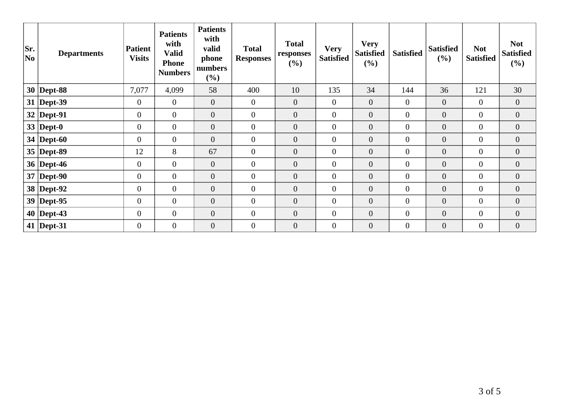| Sr.<br> No | <b>Departments</b> | <b>Patient</b><br><b>Visits</b> | <b>Patients</b><br>with<br><b>Valid</b><br><b>Phone</b><br><b>Numbers</b> | <b>Patients</b><br>with<br>valid<br>phone<br>numbers<br>(%) | <b>Total</b><br><b>Responses</b> | <b>Total</b><br>responses<br>(%) | <b>Very</b><br><b>Satisfied</b> | <b>Very</b><br><b>Satisfied</b><br>(%) | <b>Satisfied</b> | <b>Satisfied</b><br>(%) | <b>Not</b><br><b>Satisfied</b> | <b>Not</b><br><b>Satisfied</b><br>$(\%)$ |
|------------|--------------------|---------------------------------|---------------------------------------------------------------------------|-------------------------------------------------------------|----------------------------------|----------------------------------|---------------------------------|----------------------------------------|------------------|-------------------------|--------------------------------|------------------------------------------|
|            | $30$ Dept-88       | 7,077                           | 4,099                                                                     | 58                                                          | 400                              | 10                               | 135                             | 34                                     | 144              | 36                      | 121                            | 30                                       |
|            | $31$ Dept-39       | $\mathbf{0}$                    | $\overline{0}$                                                            | $\mathbf{0}$                                                | $\overline{0}$                   | $\overline{0}$                   | $\overline{0}$                  | $\mathbf{0}$                           | $\overline{0}$   | $\overline{0}$          | $\overline{0}$                 | $\overline{0}$                           |
|            | $32$ Dept-91       | $\overline{0}$                  | $\overline{0}$                                                            | $\overline{0}$                                              | $\overline{0}$                   | $\overline{0}$                   | $\overline{0}$                  | $\overline{0}$                         | $\overline{0}$   | $\boldsymbol{0}$        | $\overline{0}$                 | $\overline{0}$                           |
|            | 33   Dept-0        | $\boldsymbol{0}$                | $\overline{0}$                                                            | $\overline{0}$                                              | $\overline{0}$                   | $\overline{0}$                   | $\mathbf{0}$                    | $\boldsymbol{0}$                       | $\overline{0}$   | $\overline{0}$          | $\overline{0}$                 | $\overline{0}$                           |
|            | 34   Dept-60       | $\overline{0}$                  | $\overline{0}$                                                            | $\mathbf{0}$                                                | $\mathbf{0}$                     | $\boldsymbol{0}$                 | $\boldsymbol{0}$                | $\boldsymbol{0}$                       | $\overline{0}$   | $\boldsymbol{0}$        | $\overline{0}$                 | $\overline{0}$                           |
|            | $35$ Dept-89       | 12                              | 8                                                                         | 67                                                          | $\overline{0}$                   | $\overline{0}$                   | $\mathbf{0}$                    | $\overline{0}$                         | $\overline{0}$   | $\overline{0}$          | $\overline{0}$                 | $\overline{0}$                           |
|            | 36   Dept-46       | $\overline{0}$                  | $\overline{0}$                                                            | $\mathbf{0}$                                                | $\overline{0}$                   | $\overline{0}$                   | $\overline{0}$                  | $\overline{0}$                         | $\overline{0}$   | $\overline{0}$          | $\overline{0}$                 | $\overline{0}$                           |
|            | $37$ Dept-90       | $\overline{0}$                  | $\overline{0}$                                                            | $\theta$                                                    | $\mathbf{0}$                     | $\overline{0}$                   | $\mathbf{0}$                    | $\mathbf{0}$                           | $\overline{0}$   | $\overline{0}$          | $\overline{0}$                 | $\overline{0}$                           |
|            | 38 Dept-92         | $\boldsymbol{0}$                | $\overline{0}$                                                            | $\boldsymbol{0}$                                            | $\overline{0}$                   | $\boldsymbol{0}$                 | $\boldsymbol{0}$                | $\boldsymbol{0}$                       | $\overline{0}$   | $\boldsymbol{0}$        | $\boldsymbol{0}$               | $\overline{0}$                           |
|            | $39$ Dept-95       | $\mathbf{0}$                    | $\overline{0}$                                                            | $\mathbf{0}$                                                | $\mathbf{0}$                     | $\overline{0}$                   | $\mathbf{0}$                    | $\boldsymbol{0}$                       | $\overline{0}$   | $\boldsymbol{0}$        | $\overline{0}$                 | $\boldsymbol{0}$                         |
|            | $40$ Dept-43       | $\mathbf{0}$                    | $\boldsymbol{0}$                                                          | $\boldsymbol{0}$                                            | $\mathbf{0}$                     | $\overline{0}$                   | $\mathbf{0}$                    | $\overline{0}$                         | $\overline{0}$   | $\boldsymbol{0}$        | $\overline{0}$                 | $\overline{0}$                           |
|            | 41   Dept-31       | $\overline{0}$                  | $\overline{0}$                                                            | $\overline{0}$                                              | $\overline{0}$                   | $\overline{0}$                   | $\mathbf{0}$                    | $\overline{0}$                         | $\overline{0}$   | $\overline{0}$          | $\overline{0}$                 | $\overline{0}$                           |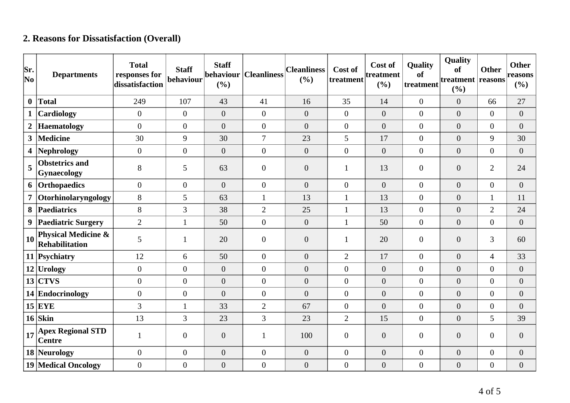## **2. Reasons for Dissatisfaction (Overall)**

| Sr.<br>$ N_{0} $ | <b>Departments</b>                                      | <b>Total</b><br>responses for<br>dissatisfaction | <b>Staff</b><br>behaviour | <b>Staff</b><br>behaviour<br>(%) | <b>Cleanliness</b> | <b>Cleanliness</b><br>(%) | Cost of<br>treatment | Cost of<br>treatment<br>(%) | Quality<br>of<br>treatment | Quality<br>of<br>treatment reasons<br>(%) | <b>Other</b>     | <b>Other</b><br>reasons<br>$(\%)$ |
|------------------|---------------------------------------------------------|--------------------------------------------------|---------------------------|----------------------------------|--------------------|---------------------------|----------------------|-----------------------------|----------------------------|-------------------------------------------|------------------|-----------------------------------|
| $\mathbf{0}$     | <b>Total</b>                                            | 249                                              | 107                       | 43                               | 41                 | 16                        | 35                   | 14                          | $\boldsymbol{0}$           | $\overline{0}$                            | 66               | 27                                |
| $\mathbf{1}$     | Cardiology                                              | $\overline{0}$                                   | $\overline{0}$            | $\overline{0}$                   | $\overline{0}$     | $\boldsymbol{0}$          | $\overline{0}$       | $\boldsymbol{0}$            | $\boldsymbol{0}$           | $\overline{0}$                            | $\overline{0}$   | $\boldsymbol{0}$                  |
| $\boldsymbol{2}$ | <b>Haematology</b>                                      | $\Omega$                                         | $\overline{0}$            | $\overline{0}$                   | $\overline{0}$     | $\overline{0}$            | $\overline{0}$       | $\overline{0}$              | $\overline{0}$             | $\overline{0}$                            | $\overline{0}$   | $\overline{0}$                    |
| $\mathbf{3}$     | <b>Medicine</b>                                         | 30                                               | 9                         | 30                               | $\overline{7}$     | 23                        | 5                    | 17                          | $\boldsymbol{0}$           | $\overline{0}$                            | 9                | 30                                |
| 4                | <b>Nephrology</b>                                       | $\overline{0}$                                   | $\boldsymbol{0}$          | $\overline{0}$                   | $\overline{0}$     | $\overline{0}$            | $\overline{0}$       | $\overline{0}$              | $\boldsymbol{0}$           | $\overline{0}$                            | $\overline{0}$   | $\boldsymbol{0}$                  |
| 5                | <b>Obstetrics and</b><br><b>Gynaecology</b>             | 8                                                | 5                         | 63                               | $\overline{0}$     | $\overline{0}$            |                      | 13                          | $\overline{0}$             | $\overline{0}$                            | $\overline{2}$   | 24                                |
| 6                | Orthopaedics                                            | $\overline{0}$                                   | $\overline{0}$            | $\overline{0}$                   | $\overline{0}$     | $\overline{0}$            | $\overline{0}$       | $\overline{0}$              | $\boldsymbol{0}$           | $\overline{0}$                            | $\overline{0}$   | $\overline{0}$                    |
| $\overline{7}$   | Otorhinolaryngology                                     | 8                                                | 5                         | 63                               | $\mathbf{1}$       | 13                        |                      | 13                          | $\overline{0}$             | $\overline{0}$                            | $\mathbf{1}$     | 11                                |
| 8                | Paediatrics                                             | 8                                                | 3                         | 38                               | $\overline{2}$     | 25                        | $\mathbf{1}$         | 13                          | $\boldsymbol{0}$           | $\overline{0}$                            | $\overline{2}$   | 24                                |
| 9                | <b>Paediatric Surgery</b>                               | $\overline{2}$                                   | $\mathbf{1}$              | 50                               | $\overline{0}$     | $\boldsymbol{0}$          | $\mathbf{1}$         | 50                          | $\overline{0}$             | $\overline{0}$                            | $\overline{0}$   | $\boldsymbol{0}$                  |
| 10               | <b>Physical Medicine &amp;</b><br><b>Rehabilitation</b> | 5                                                | 1                         | 20                               | $\overline{0}$     | $\boldsymbol{0}$          |                      | 20                          | $\boldsymbol{0}$           | $\overline{0}$                            | 3                | 60                                |
|                  | 11 Psychiatry                                           | 12                                               | 6                         | 50                               | $\overline{0}$     | $\overline{0}$            | $\overline{2}$       | 17                          | $\boldsymbol{0}$           | $\overline{0}$                            | $\overline{4}$   | 33                                |
|                  | $12$ Urology                                            | $\Omega$                                         | $\overline{0}$            | $\overline{0}$                   | $\overline{0}$     | $\overline{0}$            | $\overline{0}$       | $\overline{0}$              | $\overline{0}$             | $\overline{0}$                            | $\overline{0}$   | $\overline{0}$                    |
|                  | $13$ CTVS                                               | $\mathbf{0}$                                     | $\overline{0}$            | $\boldsymbol{0}$                 | $\overline{0}$     | $\overline{0}$            | $\overline{0}$       | $\overline{0}$              | $\overline{0}$             | $\overline{0}$                            | $\boldsymbol{0}$ | $\boldsymbol{0}$                  |
|                  | 14 Endocrinology                                        | $\theta$                                         | $\overline{0}$            | $\overline{0}$                   | $\overline{0}$     | $\theta$                  | $\overline{0}$       | $\overline{0}$              | $\overline{0}$             | $\overline{0}$                            | $\overline{0}$   | $\overline{0}$                    |
|                  | $15$ EYE                                                | 3                                                | $\mathbf{1}$              | 33                               | $\overline{2}$     | 67                        | $\overline{0}$       | $\overline{0}$              | $\boldsymbol{0}$           | $\overline{0}$                            | $\boldsymbol{0}$ | $\overline{0}$                    |
|                  | $16$ Skin                                               | 13                                               | 3                         | 23                               | $\overline{3}$     | 23                        | $\overline{2}$       | 15                          | $\overline{0}$             | $\overline{0}$                            | 5                | 39                                |
| 17               | <b>Apex Regional STD</b><br><b>Centre</b>               |                                                  | $\overline{0}$            | $\boldsymbol{0}$                 | 1                  | 100                       | $\overline{0}$       | $\boldsymbol{0}$            | $\overline{0}$             | $\overline{0}$                            | $\boldsymbol{0}$ | $\boldsymbol{0}$                  |
|                  | 18 Neurology                                            | $\overline{0}$                                   | $\boldsymbol{0}$          | $\boldsymbol{0}$                 | $\overline{0}$     | $\boldsymbol{0}$          | $\overline{0}$       | $\boldsymbol{0}$            | $\overline{0}$             | $\overline{0}$                            | $\boldsymbol{0}$ | $\boldsymbol{0}$                  |
|                  | <b>19 Medical Oncology</b>                              | $\overline{0}$                                   | $\boldsymbol{0}$          | $\boldsymbol{0}$                 | $\overline{0}$     | $\boldsymbol{0}$          | $\overline{0}$       | $\boldsymbol{0}$            | $\boldsymbol{0}$           | $\boldsymbol{0}$                          | $\boldsymbol{0}$ | $\boldsymbol{0}$                  |